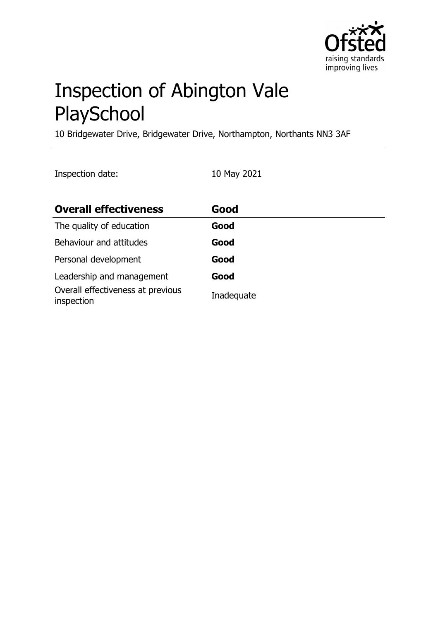

# Inspection of Abington Vale **PlaySchool**

10 Bridgewater Drive, Bridgewater Drive, Northampton, Northants NN3 3AF

Inspection date: 10 May 2021

| <b>Overall effectiveness</b>                    | Good       |
|-------------------------------------------------|------------|
| The quality of education                        | Good       |
| Behaviour and attitudes                         | Good       |
| Personal development                            | Good       |
| Leadership and management                       | Good       |
| Overall effectiveness at previous<br>inspection | Inadequate |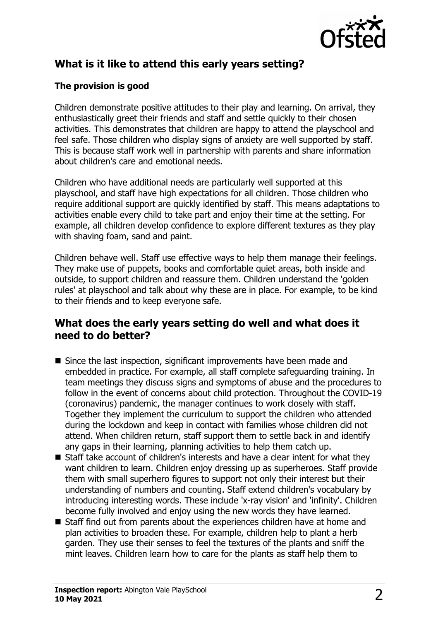

# **What is it like to attend this early years setting?**

## **The provision is good**

Children demonstrate positive attitudes to their play and learning. On arrival, they enthusiastically greet their friends and staff and settle quickly to their chosen activities. This demonstrates that children are happy to attend the playschool and feel safe. Those children who display signs of anxiety are well supported by staff. This is because staff work well in partnership with parents and share information about children's care and emotional needs.

Children who have additional needs are particularly well supported at this playschool, and staff have high expectations for all children. Those children who require additional support are quickly identified by staff. This means adaptations to activities enable every child to take part and enjoy their time at the setting. For example, all children develop confidence to explore different textures as they play with shaving foam, sand and paint.

Children behave well. Staff use effective ways to help them manage their feelings. They make use of puppets, books and comfortable quiet areas, both inside and outside, to support children and reassure them. Children understand the 'golden rules' at playschool and talk about why these are in place. For example, to be kind to their friends and to keep everyone safe.

## **What does the early years setting do well and what does it need to do better?**

- $\blacksquare$  Since the last inspection, significant improvements have been made and embedded in practice. For example, all staff complete safeguarding training. In team meetings they discuss signs and symptoms of abuse and the procedures to follow in the event of concerns about child protection. Throughout the COVID-19 (coronavirus) pandemic, the manager continues to work closely with staff. Together they implement the curriculum to support the children who attended during the lockdown and keep in contact with families whose children did not attend. When children return, staff support them to settle back in and identify any gaps in their learning, planning activities to help them catch up.
- $\blacksquare$  Staff take account of children's interests and have a clear intent for what they want children to learn. Children enjoy dressing up as superheroes. Staff provide them with small superhero figures to support not only their interest but their understanding of numbers and counting. Staff extend children's vocabulary by introducing interesting words. These include 'x-ray vision' and 'infinity'. Children become fully involved and enjoy using the new words they have learned.
- $\blacksquare$  Staff find out from parents about the experiences children have at home and plan activities to broaden these. For example, children help to plant a herb garden. They use their senses to feel the textures of the plants and sniff the mint leaves. Children learn how to care for the plants as staff help them to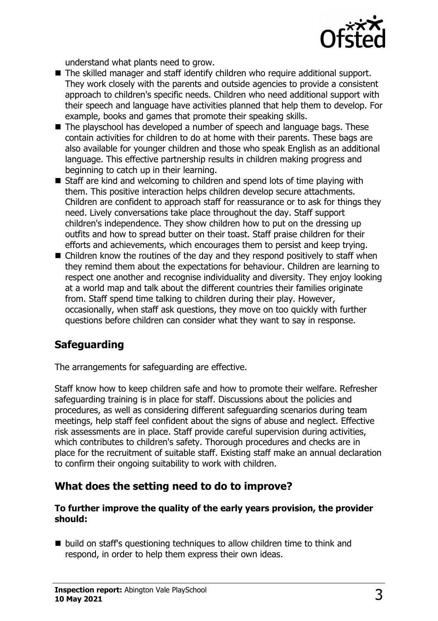

understand what plants need to grow.

- The skilled manager and staff identify children who require additional support. They work closely with the parents and outside agencies to provide a consistent approach to children's specific needs. Children who need additional support with their speech and language have activities planned that help them to develop. For example, books and games that promote their speaking skills.
- $\blacksquare$  The playschool has developed a number of speech and language bags. These contain activities for children to do at home with their parents. These bags are also available for younger children and those who speak English as an additional language. This effective partnership results in children making progress and beginning to catch up in their learning.
- $\blacksquare$  Staff are kind and welcoming to children and spend lots of time playing with them. This positive interaction helps children develop secure attachments. Children are confident to approach staff for reassurance or to ask for things they need. Lively conversations take place throughout the day. Staff support children's independence. They show children how to put on the dressing up outfits and how to spread butter on their toast. Staff praise children for their efforts and achievements, which encourages them to persist and keep trying.
- $\blacksquare$  Children know the routines of the day and they respond positively to staff when they remind them about the expectations for behaviour. Children are learning to respect one another and recognise individuality and diversity. They enjoy looking at a world map and talk about the different countries their families originate from. Staff spend time talking to children during their play. However, occasionally, when staff ask questions, they move on too quickly with further questions before children can consider what they want to say in response.

## **Safeguarding**

The arrangements for safeguarding are effective.

Staff know how to keep children safe and how to promote their welfare. Refresher safeguarding training is in place for staff. Discussions about the policies and procedures, as well as considering different safeguarding scenarios during team meetings, help staff feel confident about the signs of abuse and neglect. Effective risk assessments are in place. Staff provide careful supervision during activities, which contributes to children's safety. Thorough procedures and checks are in place for the recruitment of suitable staff. Existing staff make an annual declaration to confirm their ongoing suitability to work with children.

## **What does the setting need to do to improve?**

#### **To further improve the quality of the early years provision, the provider should:**

 $\blacksquare$  build on staff's questioning techniques to allow children time to think and respond, in order to help them express their own ideas.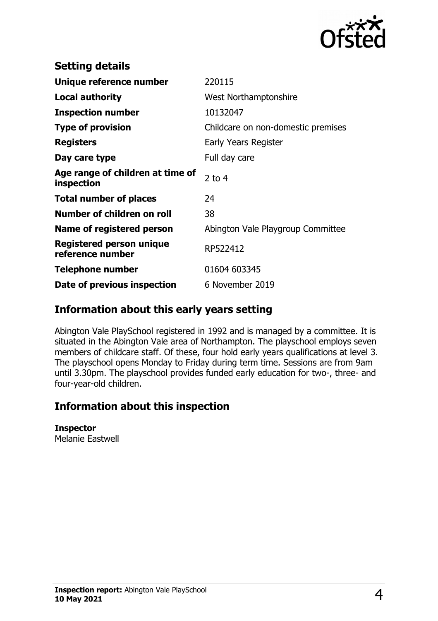

| <b>Setting details</b>                              |                                    |
|-----------------------------------------------------|------------------------------------|
| Unique reference number                             | 220115                             |
| Local authority                                     | <b>West Northamptonshire</b>       |
| <b>Inspection number</b>                            | 10132047                           |
| <b>Type of provision</b>                            | Childcare on non-domestic premises |
| <b>Registers</b>                                    | Early Years Register               |
| Day care type                                       | Full day care                      |
| Age range of children at time of<br>inspection      | $2$ to 4                           |
| <b>Total number of places</b>                       | 24                                 |
| Number of children on roll                          | 38                                 |
| Name of registered person                           | Abington Vale Playgroup Committee  |
| <b>Registered person unique</b><br>reference number | RP522412                           |
| <b>Telephone number</b>                             | 01604 603345                       |
| Date of previous inspection                         | 6 November 2019                    |

## **Information about this early years setting**

Abington Vale PlaySchool registered in 1992 and is managed by a committee. It is situated in the Abington Vale area of Northampton. The playschool employs seven members of childcare staff. Of these, four hold early years qualifications at level 3. The playschool opens Monday to Friday during term time. Sessions are from 9am until 3.30pm. The playschool provides funded early education for two-, three- and four-year-old children.

# **Information about this inspection**

#### **Inspector**

Melanie Eastwell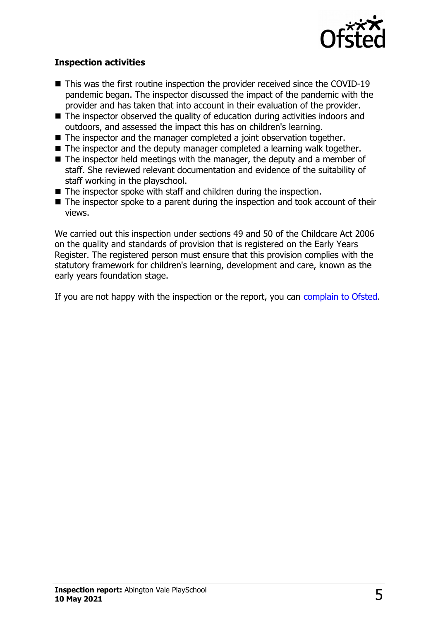

### **Inspection activities**

- $\blacksquare$  This was the first routine inspection the provider received since the COVID-19 pandemic began. The inspector discussed the impact of the pandemic with the provider and has taken that into account in their evaluation of the provider.
- $\blacksquare$  The inspector observed the quality of education during activities indoors and outdoors, and assessed the impact this has on children's learning.
- $\blacksquare$  The inspector and the manager completed a joint observation together.
- $\blacksquare$  The inspector and the deputy manager completed a learning walk together.
- $\blacksquare$  The inspector held meetings with the manager, the deputy and a member of staff. She reviewed relevant documentation and evidence of the suitability of staff working in the playschool.
- $\blacksquare$  The inspector spoke with staff and children during the inspection.
- $\blacksquare$  The inspector spoke to a parent during the inspection and took account of their views.

We carried out this inspection under sections 49 and 50 of the Childcare Act 2006 on the quality and standards of provision that is registered on the Early Years Register. The registered person must ensure that this provision complies with the statutory framework for children's learning, development and care, known as the early years foundation stage.

If you are not happy with the inspection or the report, you can [complain to Ofsted.](http://www.gov.uk/complain-ofsted-report)